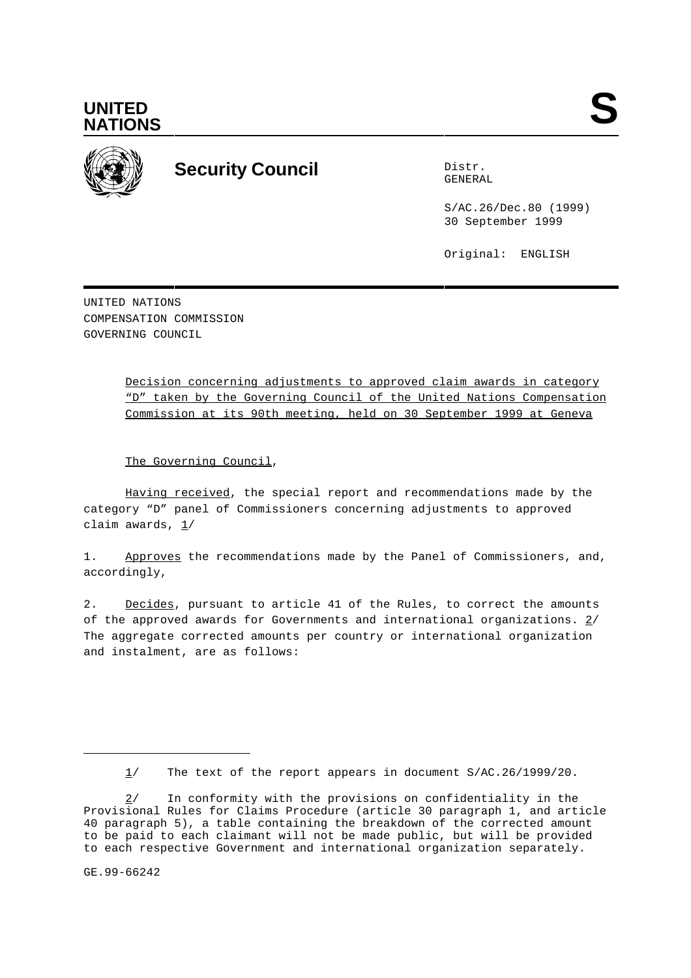



## **Security Council** Distribution

GENERAL

S/AC.26/Dec.80 (1999) 30 September 1999

Original: ENGLISH

UNITED NATIONS COMPENSATION COMMISSION GOVERNING COUNCIL

> Decision concerning adjustments to approved claim awards in category "D" taken by the Governing Council of the United Nations Compensation Commission at its 90th meeting, held on 30 September 1999 at Geneva

The Governing Council,

Having received, the special report and recommendations made by the category "D" panel of Commissioners concerning adjustments to approved claim awards,  $1/$ 

1. Approves the recommendations made by the Panel of Commissioners, and, accordingly,

2. Decides, pursuant to article 41 of the Rules, to correct the amounts of the approved awards for Governments and international organizations. 2/ The aggregate corrected amounts per country or international organization and instalment, are as follows:

GE.99-66242

<sup>1/</sup> The text of the report appears in document S/AC.26/1999/20.

<sup>2/</sup> In conformity with the provisions on confidentiality in the Provisional Rules for Claims Procedure (article 30 paragraph 1, and article 40 paragraph 5), a table containing the breakdown of the corrected amount to be paid to each claimant will not be made public, but will be provided to each respective Government and international organization separately.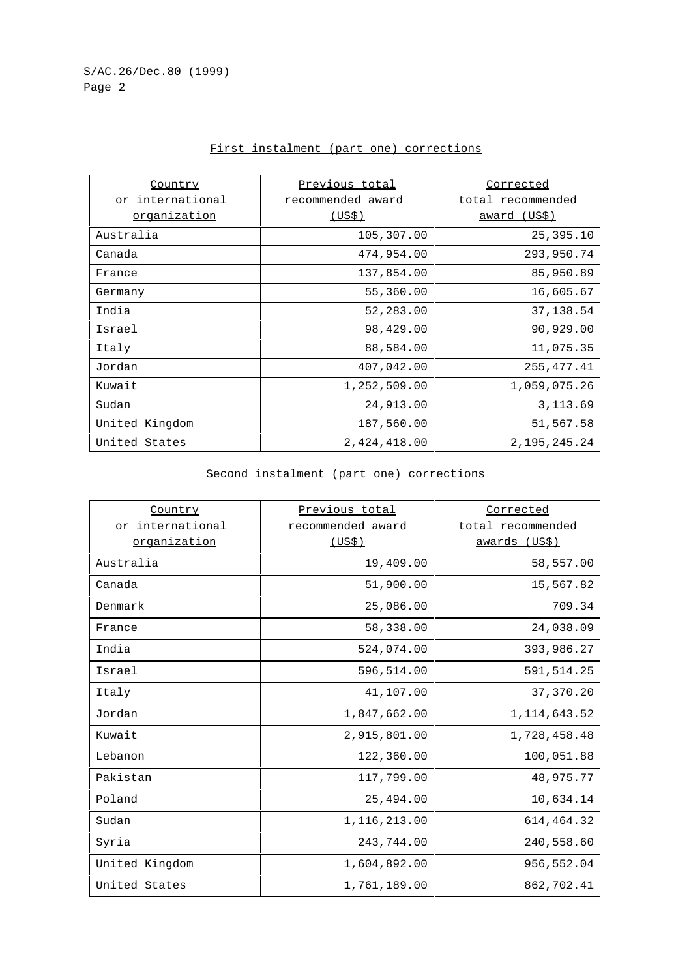| Country                 | Previous total    | <u>Corrected</u>    |
|-------------------------|-------------------|---------------------|
| <u>or international</u> | recommended award | total recommended   |
| organization            | (US\$)            | <u>award (US\$)</u> |
| Australia               | 105,307.00        | 25,395.10           |
| Canada                  | 474,954.00        | 293,950.74          |
| France                  | 137,854.00        | 85,950.89           |
| Germany                 | 55,360.00         | 16,605.67           |
| India                   | 52,283.00         | 37, 138.54          |
| Israel                  | 98,429.00         | 90,929.00           |
| Italy                   | 88,584.00         | 11,075.35           |
| Jordan                  | 407,042.00        | 255, 477. 41        |
| Kuwait                  | 1,252,509.00      | 1,059,075.26        |
| Sudan                   | 24,913.00         | 3, 113.69           |
| United Kingdom          | 187,560.00        | 51,567.58           |
| United States           | 2,424,418.00      | 2, 195, 245. 24     |

## First instalment (part one) corrections

Second instalment (part one) corrections

| Country                 | Previous total    | Corrected         |
|-------------------------|-------------------|-------------------|
| <u>or international</u> | recommended award | total recommended |
| organization            | <u>(US\$)</u>     | awards (US\$)     |
| Australia               | 19,409.00         | 58,557.00         |
| Canada                  | 51,900.00         | 15,567.82         |
| Denmark                 | 25,086.00         | 709.34            |
| France                  | 58,338.00         | 24,038.09         |
| India                   | 524,074.00        | 393,986.27        |
| Israel                  | 596,514.00        | 591,514.25        |
| Italy                   | 41,107.00         | 37,370.20         |
| Jordan                  | 1,847,662.00      | 1, 114, 643.52    |
| Kuwait                  | 2,915,801.00      | 1,728,458.48      |
| Lebanon                 | 122,360.00        | 100,051.88        |
| Pakistan                | 117,799.00        | 48,975.77         |
| Poland                  | 25,494.00         | 10,634.14         |
| Sudan                   | 1,116,213.00      | 614,464.32        |
| Syria                   | 243,744.00        | 240,558.60        |
| United Kingdom          | 1,604,892.00      | 956,552.04        |
| United States           | 1,761,189.00      | 862,702.41        |